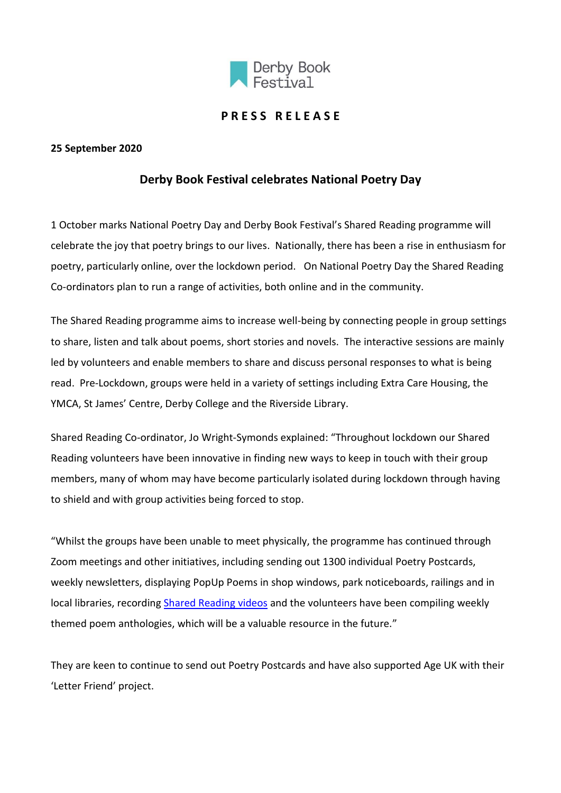

## **P R E S S R E L E A S E**

#### **25 September 2020**

# **Derby Book Festival celebrates National Poetry Day**

1 October marks National Poetry Day and Derby Book Festival's Shared Reading programme will celebrate the joy that poetry brings to our lives. Nationally, there has been a rise in enthusiasm for poetry, particularly online, over the lockdown period. On National Poetry Day the Shared Reading Co-ordinators plan to run a range of activities, both online and in the community.

The Shared Reading programme aims to increase well-being by connecting people in group settings to share, listen and talk about poems, short stories and novels. The interactive sessions are mainly led by volunteers and enable members to share and discuss personal responses to what is being read. Pre-Lockdown, groups were held in a variety of settings including Extra Care Housing, the YMCA, St James' Centre, Derby College and the Riverside Library.

Shared Reading Co-ordinator, Jo Wright-Symonds explained: "Throughout lockdown our Shared Reading volunteers have been innovative in finding new ways to keep in touch with their group members, many of whom may have become particularly isolated during lockdown through having to shield and with group activities being forced to stop.

"Whilst the groups have been unable to meet physically, the programme has continued through Zoom meetings and other initiatives, including sending out 1300 individual Poetry Postcards, weekly newsletters, displaying PopUp Poems in shop windows, park noticeboards, railings and in local libraries, recordin[g Shared Reading videos](https://www.derbybookfestival.co.uk/#videoEmbedxQ8c7sYj0FU) and the volunteers have been compiling weekly themed poem anthologies, which will be a valuable resource in the future."

They are keen to continue to send out Poetry Postcards and have also supported Age UK with their 'Letter Friend' project.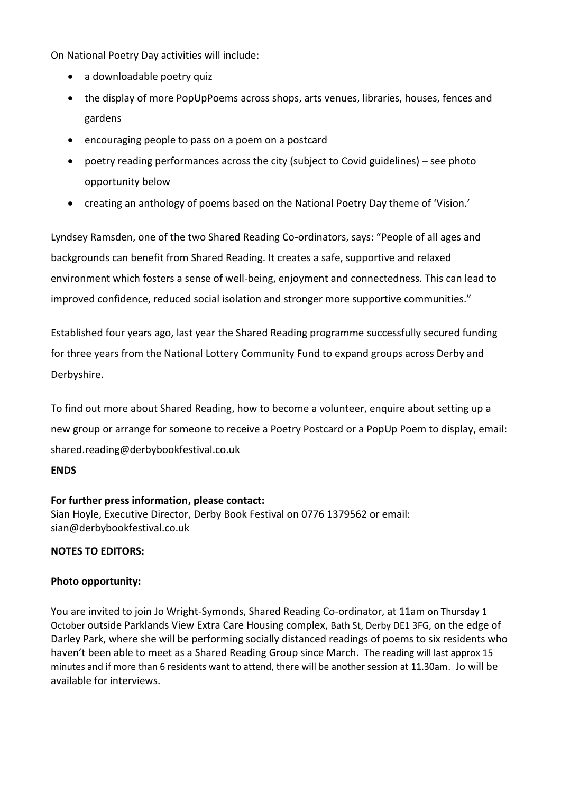On National Poetry Day activities will include:

- a downloadable poetry quiz
- the display of more PopUpPoems across shops, arts venues, libraries, houses, fences and gardens
- encouraging people to pass on a poem on a postcard
- poetry reading performances across the city (subject to Covid guidelines) see photo opportunity below
- creating an anthology of poems based on the National Poetry Day theme of 'Vision.'

Lyndsey Ramsden, one of the two Shared Reading Co-ordinators, says: "People of all ages and backgrounds can benefit from Shared Reading. It creates a safe, supportive and relaxed environment which fosters a sense of well-being, enjoyment and connectedness. This can lead to improved confidence, reduced social isolation and stronger more supportive communities."

Established four years ago, last year the Shared Reading programme successfully secured funding for three years from the National Lottery Community Fund to expand groups across Derby and Derbyshire.

To find out more about Shared Reading, how to become a volunteer, enquire about setting up a new group or arrange for someone to receive a Poetry Postcard or a PopUp Poem to display, email: shared.reading@derbybookfestival.co.uk

#### **ENDS**

#### **For further press information, please contact:**

Sian Hoyle, Executive Director, Derby Book Festival on 0776 1379562 or email: sian@derbybookfestival.co.uk

### **NOTES TO EDITORS:**

#### **Photo opportunity:**

You are invited to join Jo Wright-Symonds, Shared Reading Co-ordinator, at 11am on Thursday 1 October outside Parklands View Extra Care Housing complex, Bath St, Derby DE1 3FG, on the edge of Darley Park, where she will be performing socially distanced readings of poems to six residents who haven't been able to meet as a Shared Reading Group since March. The reading will last approx 15 minutes and if more than 6 residents want to attend, there will be another session at 11.30am. Jo will be available for interviews.